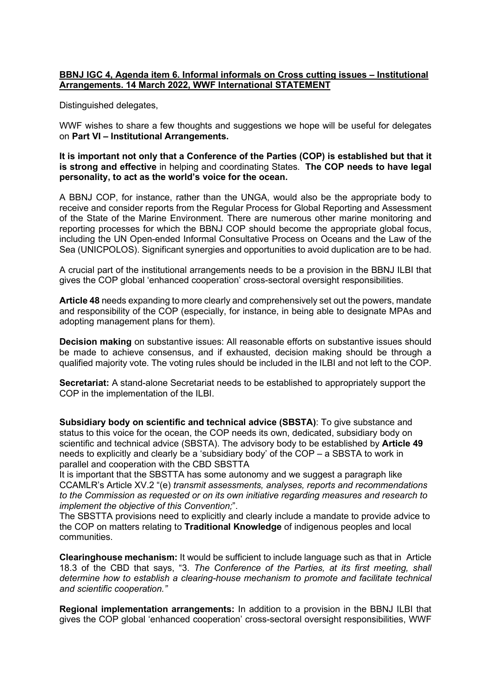## **BBNJ IGC 4, Agenda item 6. Informal informals on Cross cutting issues – Institutional Arrangements. 14 March 2022, WWF International STATEMENT**

Distinguished delegates,

WWF wishes to share a few thoughts and suggestions we hope will be useful for delegates on **Part VI – Institutional Arrangements.**

**It is important not only that a Conference of the Parties (COP) is established but that it is strong and effective** in helping and coordinating States. **The COP needs to have legal personality, to act as the world's voice for the ocean.**

A BBNJ COP, for instance, rather than the UNGA, would also be the appropriate body to receive and consider reports from the Regular Process for Global Reporting and Assessment of the State of the Marine Environment. There are numerous other marine monitoring and reporting processes for which the BBNJ COP should become the appropriate global focus, including the UN Open-ended Informal Consultative Process on Oceans and the Law of the Sea (UNICPOLOS). Significant synergies and opportunities to avoid duplication are to be had.

A crucial part of the institutional arrangements needs to be a provision in the BBNJ ILBI that gives the COP global 'enhanced cooperation' cross-sectoral oversight responsibilities.

**Article 48** needs expanding to more clearly and comprehensively set out the powers, mandate and responsibility of the COP (especially, for instance, in being able to designate MPAs and adopting management plans for them).

**Decision making** on substantive issues: All reasonable efforts on substantive issues should be made to achieve consensus, and if exhausted, decision making should be through a qualified majority vote. The voting rules should be included in the ILBI and not left to the COP.

**Secretariat:** A stand-alone Secretariat needs to be established to appropriately support the COP in the implementation of the ILBI.

**Subsidiary body on scientific and technical advice (SBSTA)**: To give substance and status to this voice for the ocean, the COP needs its own, dedicated, subsidiary body on scientific and technical advice (SBSTA). The advisory body to be established by **Article 49**  needs to explicitly and clearly be a 'subsidiary body' of the COP – a SBSTA to work in parallel and cooperation with the CBD SBSTTA

It is important that the SBSTTA has some autonomy and we suggest a paragraph like CCAMLR's Article XV.2 "(e) *transmit assessments, analyses, reports and recommendations to the Commission as requested or on its own initiative regarding measures and research to implement the objective of this Convention;*".

The SBSTTA provisions need to explicitly and clearly include a mandate to provide advice to the COP on matters relating to **Traditional Knowledge** of indigenous peoples and local communities.

**Clearinghouse mechanism:** It would be sufficient to include language such as that in Article 18.3 of the CBD that says, "3. *The Conference of the Parties, at its first meeting, shall determine how to establish a clearing-house mechanism to promote and facilitate technical and scientific cooperation."* 

**Regional implementation arrangements:** In addition to a provision in the BBNJ ILBI that gives the COP global 'enhanced cooperation' cross-sectoral oversight responsibilities, WWF